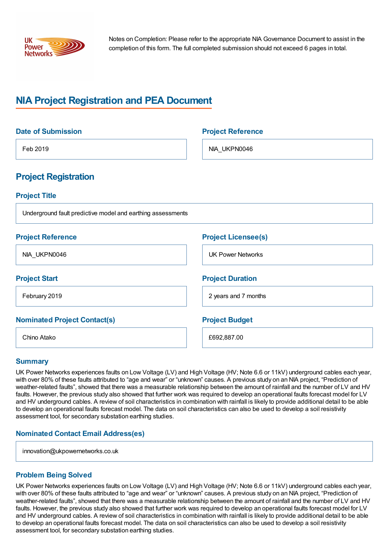

Notes on Completion: Please refer to the appropriate NIA Governance Document to assist in the completion of this form. The full completed submission should not exceed 6 pages in total.

# **NIA Project Registration and PEA Document**

| <b>Date of Submission</b>                                   | <b>Project Reference</b>   |
|-------------------------------------------------------------|----------------------------|
| Feb 2019                                                    | NIA_UKPN0046               |
| <b>Project Registration</b>                                 |                            |
| <b>Project Title</b>                                        |                            |
| Underground fault predictive model and earthing assessments |                            |
| <b>Project Reference</b>                                    | <b>Project Licensee(s)</b> |
| NIA_UKPN0046                                                | <b>UK Power Networks</b>   |
| <b>Project Start</b>                                        | <b>Project Duration</b>    |
| February 2019                                               | 2 years and 7 months       |
| <b>Nominated Project Contact(s)</b>                         | <b>Project Budget</b>      |
| Chino Atako                                                 | £692,887.00                |

#### **Summary**

UK Power Networks experiences faults on Low Voltage (LV) and High Voltage (HV; Note 6.6 or 11kV) underground cables each year, with over 80% of these faults attributed to "age and wear" or "unknown" causes. A previous study on an NIA project, "Prediction of weather-related faults", showed that there was a measurable relationship between the amount of rainfall and the number of LV and HV faults. However, the previous study also showed that further work was required to develop an operational faults forecast model for LV and HV underground cables. A review of soil characteristics in combination with rainfall is likely to provide additional detail to be able to develop an operational faults forecast model. The data on soil characteristics can also be used to develop a soil resistivity assessment tool, for secondary substation earthing studies.

## **Nominated Contact Email Address(es)**

innovation@ukpowernetworks.co.uk

## **Problem Being Solved**

UK Power Networks experiences faults on Low Voltage (LV) and High Voltage (HV; Note 6.6 or 11kV) underground cables each year, with over 80% of these faults attributed to "age and wear" or "unknown" causes. A previous study on an NIA project, "Prediction of weather-related faults", showed that there was a measurable relationship between the amount of rainfall and the number of LV and HV faults. However, the previous study also showed that further work was required to develop an operational faults forecast model for LV and HV underground cables. A review of soil characteristics in combination with rainfall is likely to provide additional detail to be able to develop an operational faults forecast model. The data on soil characteristics can also be used to develop a soil resistivity assessment tool, for secondary substation earthing studies.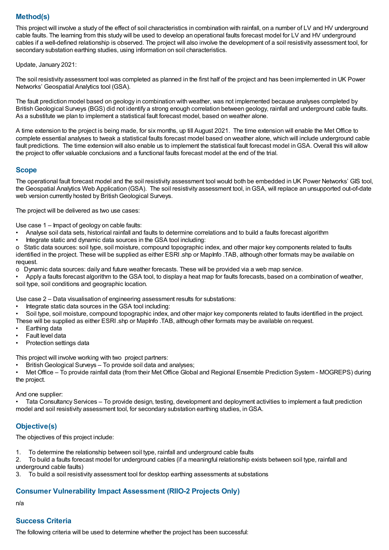## **Method(s)**

This project will involve a study of the effect of soil characteristics in combination with rainfall, on a number of LV and HV underground cable faults. The learning from this study will be used to develop an operational faults forecast model for LV and HV underground cables if a well-defined relationship is observed. The project will also involve the development of a soil resistivity assessment tool, for secondary substation earthing studies, using information on soil characteristics.

Update, January 2021:

The soil resistivity assessment tool was completed as planned in the first half of the project and has been implemented in UK Power Networks' Geospatial Analytics tool (GSA).

The fault prediction model based on geology in combination with weather, was not implemented because analyses completed by British Geological Surveys (BGS) did not identify a strong enough correlation between geology, rainfall and underground cable faults. As a substitute we plan to implement a statistical fault forecast model, based on weather alone.

A time extension to the project is being made, for six months, up till August 2021. The time extension will enable the Met Office to complete essential analyses to tweak a statistical faults forecast model based on weather alone, which will include underground cable fault predictions. The time extension will also enable us to implement the statistical fault forecast model inGSA. Overall this will allow the project to offer valuable conclusions and a functional faults forecast model at the end of the trial.

## **Scope**

The operational fault forecast model and the soil resistivity assessment tool would both be embedded in UK Power Networks' GIS tool, the Geospatial Analytics Web Application (GSA). The soil resistivity assessment tool, inGSA, will replace an unsupported out-of-date web version currently hosted by British Geological Surveys.

The project will be delivered as two use cases:

Use case 1 – Impact of geology on cable faults:

- Analyse soil data sets, historical rainfall and faults to determine correlations and to build a faults forecast algorithm
- Integrate static and dynamic data sources in the GSA tool including:

o Static data sources: soil type, soil moisture, compound topographic index, and other major key components related to faults identified in the project. These will be supplied as either ESRI .shp or MapInfo .TAB, although other formats may be available on request.

- o Dynamic data sources: daily and future weather forecasts. These will be provided via a web map service.
- Apply a faults forecast algorithm to the GSA tool, to display a heat map for faults forecasts, based on a combination of weather, soil type, soil conditions and geographic location.

Use case 2 – Data visualisation of engineering assessment results for substations:

- Integrate static data sources in the GSA tool including:
- Soil type, soil moisture, compound topographic index, and other major key components related to faults identified in the project.
- These will be supplied as either ESRI .shp or MapInfo .TAB, although other formats may be available on request.
- Earthing data
- Fault level data
- Protection settings data

This project will involve working with two project partners:

British Geological Surveys - To provide soil data and analyses;

• Met Office – To provide rainfall data (from their Met Office Global and Regional Ensemble Prediction System - MOGREPS) during the project.

And one supplier:

• Tata Consultancy Services – To provide design, testing, development and deployment activities to implement a fault prediction model and soil resistivity assessment tool, for secondary substation earthing studies, inGSA.

## **Objective(s)**

The objectives of this project include:

1. To determine the relationship between soil type, rainfall and underground cable faults

2. To build a faults forecast model for underground cables (if a meaningful relationship exists between soil type, rainfall and underground cable faults)

3. To build a soil resistivity assessment tool for desktop earthing assessments at substations

## **Consumer Vulnerability Impact Assessment (RIIO-2 Projects Only)**

n/a

## **Success Criteria**

The following criteria will be used to determine whether the project has been successful: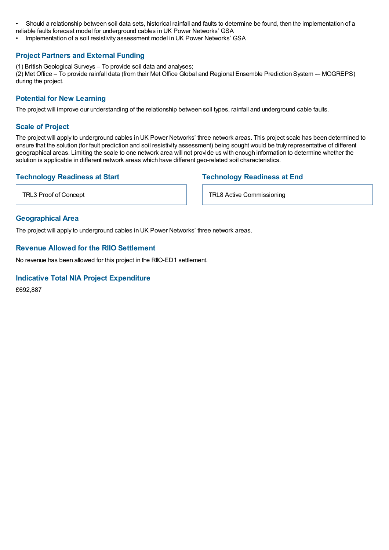• Should a relationship between soil data sets, historical rainfall and faults to determine be found, then the implementation of a reliable faults forecast model for underground cables in UK Power Networks' GSA

• Implementation of a soil resistivity assessment model in UK Power Networks' GSA

### **Project Partners and External Funding**

(1) British Geological Surveys - To provide soil data and analyses;

(2) Met Office – To provide rainfall data (from their Met Office Global and Regional Ensemble Prediction System – MOGREPS) during the project.

## **Potential for New Learning**

The project will improve our understanding of the relationship between soil types, rainfall and underground cable faults.

#### **Scale of Project**

The project will apply to underground cables in UK Power Networks' three network areas. This project scale has been determined to ensure that the solution (for fault prediction and soil resistivity assessment) being sought would be truly representative of different geographical areas. Limiting the scale to one network area will not provide us with enough information to determine whether the solution is applicable in different network areas which have different geo-related soil characteristics.

## **Technology Readiness at Start**

#### **Technology Readiness at End**

TRL3 Proof of Concept

#### **Geographical Area**

The project will apply to underground cables in UK Power Networks' three network areas.

#### **Revenue Allowed for the RIIO Settlement**

No revenue has been allowed for this project in the RIIO-ED1 settlement.

#### **Indicative Total NIA Project Expenditure**

£692,887

TRL8 Active Commissioning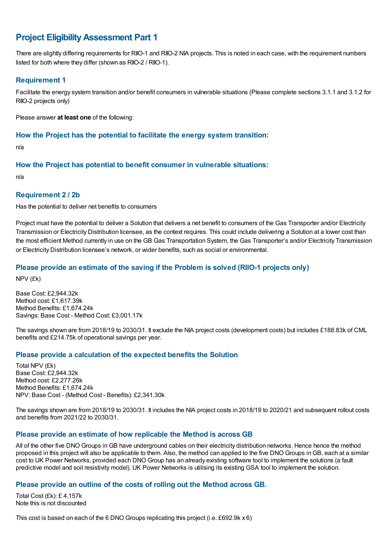## **Project EligibilityAssessment Part 1**

There are slightly differing requirements for RIIO-1 and RIIO-2 NIA projects. This is noted in each case, with the requirement numbers listed for both where they differ (shown as RIIO-2 / RIIO-1).

### **Requirement 1**

Facilitate the energy system transition and/or benefit consumers in vulnerable situations (Please complete sections 3.1.1 and 3.1.2 for RIIO-2 projects only)

Please answer **at least one** of the following:

#### **How the Project has the potential to facilitate the energy system transition:**

n/a

#### **How the Project has potential to benefit consumer in vulnerable situations:**

n/a

#### **Requirement 2 / 2b**

Has the potential to deliver net benefits to consumers

Project must have the potential to deliver a Solution that delivers a net benefit to consumers of the Gas Transporter and/or Electricity Transmission or Electricity Distribution licensee, as the context requires. This could include delivering a Solution at a lower cost than the most efficient Method currently in use on the GB Gas Transportation System, the Gas Transporter's and/or Electricity Transmission or Electricity Distribution licensee's network, or wider benefits, such as social or environmental.

#### **Please provide an estimate of the saving if the Problem is solved (RIIO-1 projects only)**

NPV (£k)

Base Cost: £2,944.32k Method cost: £1,617.39k Method Benefits: £1,674.24k Savings: Base Cost - Method Cost: £3,001.17k

The savings shown are from 2018/19 to 2030/31. It exclude the NIA project costs (development costs) but includes £188.83k of CML benefits and £214.75k of operational savings per year.

## **Please provide a calculation of the expected benefits the Solution**

Total NPV (£k) Base Cost: £2,944.32k Method cost: £2,277.26k Method Benefits: £1,674.24k NPV: Base Cost - (Method Cost - Benefits): £2,341.30k

The savings shown are from 2018/19 to 2030/31. It includes the NIA project costs in 2018/19 to 2020/21 and subsequent rollout costs and benefits from 2021/22 to 2030/31.

## **Please provide an estimate of how replicable the Method is across GB**

All of the other five DNO Groups inGB have underground cables on their electricity distribution networks. Hence hence the method proposed in this project will also be applicable to them. Also, the method can applied to the five DNO Groups inGB, each at a similar cost to UK Power Networks, provided each DNO Group has an already existing software tool to implement the solutions (a fault predictive model and soil resistivity model). UK Power Networks is utilising its existing GSA tool to implement the solution.

#### **Please provide an outline of the costs of rolling out the Method across GB.**

Total Cost (£k): £ 4,157k Note this is not discounted

This cost is based on each of the 6 DNO Groups replicating this project (i.e. £692.9k x 6)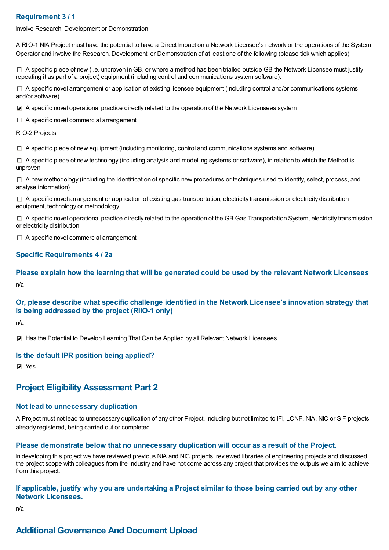## **Requirement 3 / 1**

Involve Research, Development or Demonstration

A RIIO-1 NIA Project must have the potential to have a Direct Impact on a Network Licensee's network or the operations of the System Operator and involve the Research, Development, or Demonstration of at least one of the following (please tick which applies):

 $\Box$  A specific piece of new (i.e. unproven in GB, or where a method has been trialled outside GB the Network Licensee must justify repeating it as part of a project) equipment (including control and communications system software).

 $\Box$  A specific novel arrangement or application of existing licensee equipment (including control and/or communications systems and/or software)

 $\nabla$  A specific novel operational practice directly related to the operation of the Network Licensees system

 $\Box$  A specific novel commercial arrangement

RIIO-2 Projects

 $\Box$  A specific piece of new equipment (including monitoring, control and communications systems and software)

 $\Box$  A specific piece of new technology (including analysis and modelling systems or software), in relation to which the Method is unproven

 $\Box$  A new methodology (including the identification of specific new procedures or techniques used to identify, select, process, and analyse information)

 $\Box$  A specific novel arrangement or application of existing gas transportation, electricity transmission or electricity distribution equipment, technology or methodology

 $\Box$  A specific novel operational practice directly related to the operation of the GB Gas Transportation System, electricity transmission or electricity distribution

 $\Box$  A specific novel commercial arrangement

#### **Specific Requirements 4 / 2a**

**Please explain how the learning that will be generated could be used by the relevant Network Licensees** n/a

## **Or, please describe what specific challenge identified in the Network Licensee's innovation strategy that is being addressed by the project (RIIO-1 only)**

n/a

Has the Potential to Develop Learning That Can be Applied by all Relevant Network Licensees

#### **Is the default IPR position being applied?**

**Ves** 

## **Project EligibilityAssessment Part 2**

#### **Not lead to unnecessary duplication**

A Project must not lead to unnecessary duplication of any other Project, including but not limited to IFI, LCNF, NIA, NIC or SIF projects already registered, being carried out or completed.

#### **Please demonstrate below that no unnecessary duplication will occur as a result of the Project.**

In developing this project we have reviewed previous NIA and NIC projects, reviewed libraries of engineering projects and discussed the project scope with colleagues from the industry and have not come across any project that provides the outputs we aim to achieve from this project.

#### If applicable, justify why you are undertaking a Project similar to those being carried out by any other **Network Licensees.**

n/a

## **Additional Governance And Document Upload**